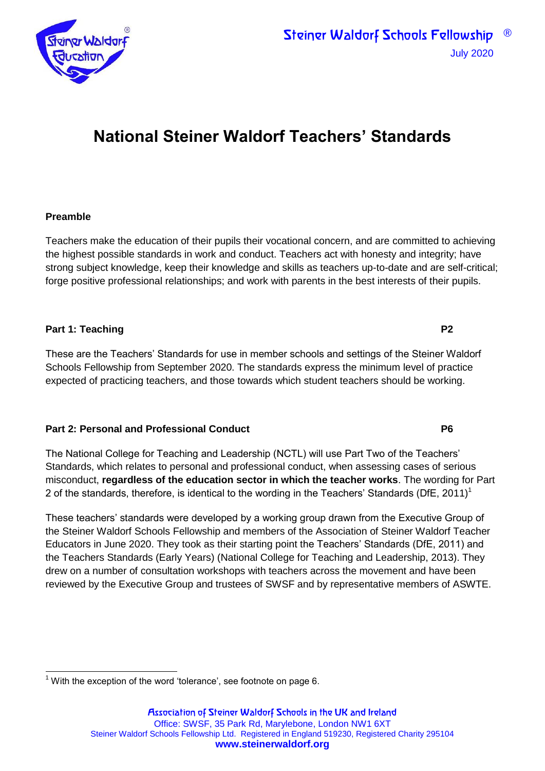

# **National Steiner Waldorf Teachers' Standards**

#### **Preamble**

Teachers make the education of their pupils their vocational concern, and are committed to achieving the highest possible standards in work and conduct. Teachers act with honesty and integrity; have strong subject knowledge, keep their knowledge and skills as teachers up-to-date and are self-critical; forge positive professional relationships; and work with parents in the best interests of their pupils.

#### **Part 1: Teaching P2**

These are the Teachers' Standards for use in member schools and settings of the Steiner Waldorf Schools Fellowship from September 2020. The standards express the minimum level of practice expected of practicing teachers, and those towards which student teachers should be working.

#### **Part 2: Personal and Professional Conduct P6**

The National College for Teaching and Leadership (NCTL) will use Part Two of the Teachers' Standards, which relates to personal and professional conduct, when assessing cases of serious misconduct, **regardless of the education sector in which the teacher works**. The wording for Part 2 of the standards, therefore, is identical to the wording in the Teachers' Standards (DfE, 2011)<sup>1</sup>

These teachers' standards were developed by a working group drawn from the Executive Group of the Steiner Waldorf Schools Fellowship and members of the Association of Steiner Waldorf Teacher Educators in June 2020. They took as their starting point the Teachers' Standards (DfE, 2011) and the Teachers Standards (Early Years) (National College for Teaching and Leadership, 2013). They drew on a number of consultation workshops with teachers across the movement and have been reviewed by the Executive Group and trustees of SWSF and by representative members of ASWTE.

  $1$  With the exception of the word 'tolerance', see footnote on page 6.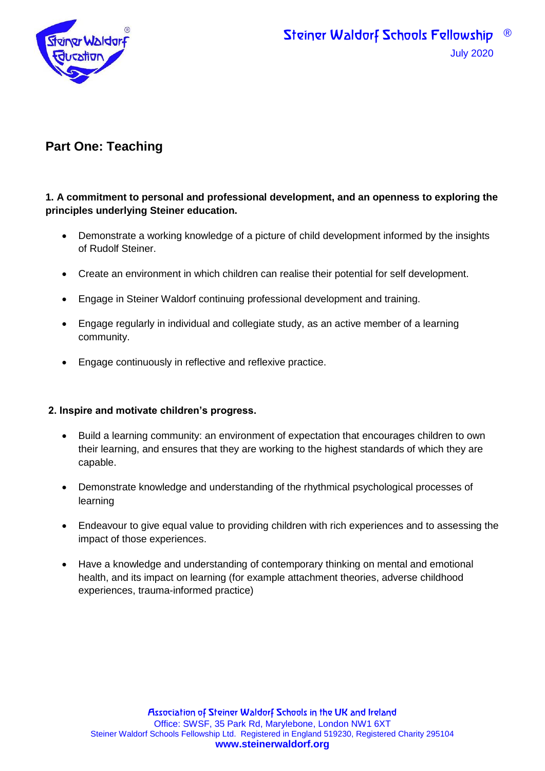

# **Part One: Teaching**

#### **1. A commitment to personal and professional development, and an openness to exploring the principles underlying Steiner education.**

- Demonstrate a working knowledge of a picture of child development informed by the insights of Rudolf Steiner.
- Create an environment in which children can realise their potential for self development.
- Engage in Steiner Waldorf continuing professional development and training.
- Engage regularly in individual and collegiate study, as an active member of a learning community.
- Engage continuously in reflective and reflexive practice.

#### **2. Inspire and motivate children's progress.**

- Build a learning community: an environment of expectation that encourages children to own their learning, and ensures that they are working to the highest standards of which they are capable.
- Demonstrate knowledge and understanding of the rhythmical psychological processes of learning
- Endeavour to give equal value to providing children with rich experiences and to assessing the impact of those experiences.
- Have a knowledge and understanding of contemporary thinking on mental and emotional health, and its impact on learning (for example attachment theories, adverse childhood experiences, trauma-informed practice)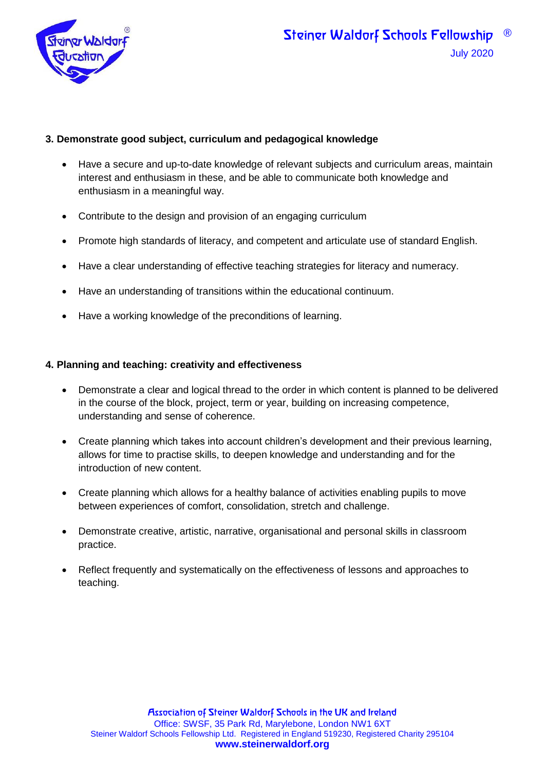

#### **3. Demonstrate good subject, curriculum and pedagogical knowledge**

- Have a secure and up-to-date knowledge of relevant subjects and curriculum areas, maintain interest and enthusiasm in these, and be able to communicate both knowledge and enthusiasm in a meaningful way.
- Contribute to the design and provision of an engaging curriculum
- Promote high standards of literacy, and competent and articulate use of standard English.
- Have a clear understanding of effective teaching strategies for literacy and numeracy.
- Have an understanding of transitions within the educational continuum.
- Have a working knowledge of the preconditions of learning.

#### **4. Planning and teaching: creativity and effectiveness**

- Demonstrate a clear and logical thread to the order in which content is planned to be delivered in the course of the block, project, term or year, building on increasing competence, understanding and sense of coherence.
- Create planning which takes into account children's development and their previous learning, allows for time to practise skills, to deepen knowledge and understanding and for the introduction of new content.
- Create planning which allows for a healthy balance of activities enabling pupils to move between experiences of comfort, consolidation, stretch and challenge.
- Demonstrate creative, artistic, narrative, organisational and personal skills in classroom practice.
- Reflect frequently and systematically on the effectiveness of lessons and approaches to teaching.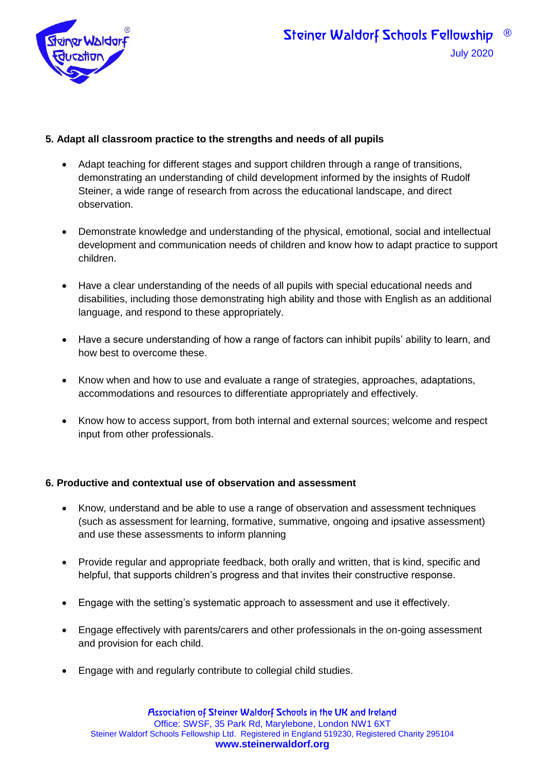

#### **5. Adapt all classroom practice to the strengths and needs of all pupils**

- Adapt teaching for different stages and support children through a range of transitions, demonstrating an understanding of child development informed by the insights of Rudolf Steiner, a wide range of research from across the educational landscape, and direct observation.
- Demonstrate knowledge and understanding of the physical, emotional, social and intellectual development and communication needs of children and know how to adapt practice to support children.
- Have a clear understanding of the needs of all pupils with special educational needs and disabilities, including those demonstrating high ability and those with English as an additional language, and respond to these appropriately.
- Have a secure understanding of how a range of factors can inhibit pupils' ability to learn, and how best to overcome these.
- Know when and how to use and evaluate a range of strategies, approaches, adaptations, accommodations and resources to differentiate appropriately and effectively.
- Know how to access support, from both internal and external sources; welcome and respect input from other professionals.

#### **6. Productive and contextual use of observation and assessment**

- Know, understand and be able to use a range of observation and assessment techniques (such as assessment for learning, formative, summative, ongoing and ipsative assessment) and use these assessments to inform planning
- Provide regular and appropriate feedback, both orally and written, that is kind, specific and helpful, that supports children's progress and that invites their constructive response.
- Engage with the setting's systematic approach to assessment and use it effectively.
- Engage effectively with parents/carers and other professionals in the on-going assessment and provision for each child.
- Engage with and regularly contribute to collegial child studies.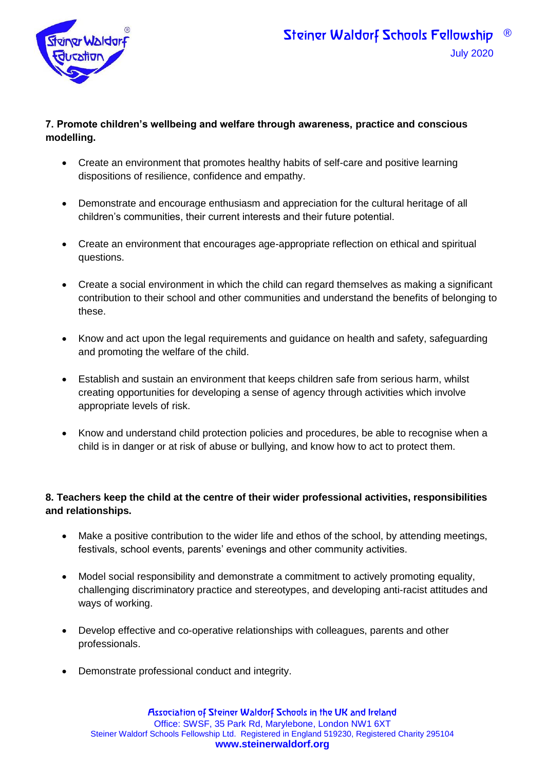

#### **7. Promote children's wellbeing and welfare through awareness, practice and conscious modelling.**

- Create an environment that promotes healthy habits of self-care and positive learning dispositions of resilience, confidence and empathy.
- Demonstrate and encourage enthusiasm and appreciation for the cultural heritage of all children's communities, their current interests and their future potential.
- Create an environment that encourages age-appropriate reflection on ethical and spiritual questions.
- Create a social environment in which the child can regard themselves as making a significant contribution to their school and other communities and understand the benefits of belonging to these.
- Know and act upon the legal requirements and quidance on health and safety, safeguarding and promoting the welfare of the child.
- Establish and sustain an environment that keeps children safe from serious harm, whilst creating opportunities for developing a sense of agency through activities which involve appropriate levels of risk.
- Know and understand child protection policies and procedures, be able to recognise when a child is in danger or at risk of abuse or bullying, and know how to act to protect them.

### **8. Teachers keep the child at the centre of their wider professional activities, responsibilities and relationships.**

- Make a positive contribution to the wider life and ethos of the school, by attending meetings, festivals, school events, parents' evenings and other community activities.
- Model social responsibility and demonstrate a commitment to actively promoting equality, challenging discriminatory practice and stereotypes, and developing anti-racist attitudes and ways of working.
- Develop effective and co-operative relationships with colleagues, parents and other professionals.
- Demonstrate professional conduct and integrity.